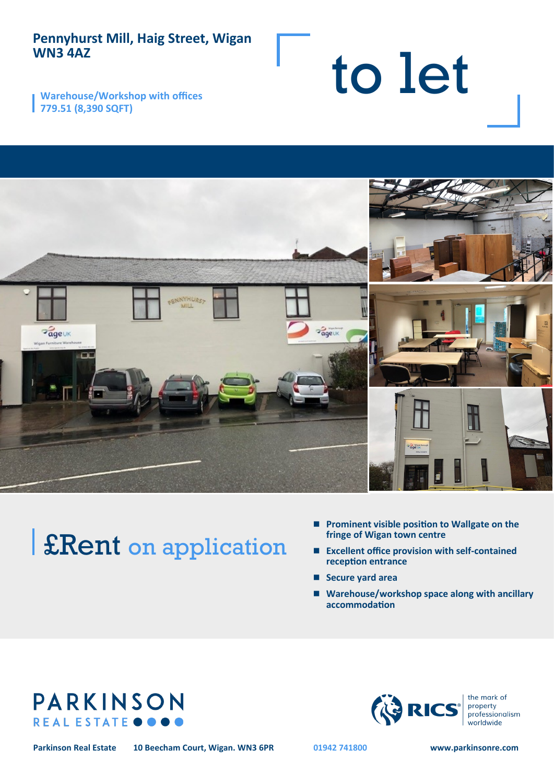## **Pennyhurst Mill, Haig Street, Wigan WN3 4AZ**

**Warehouse/Workshop with offices 779.51 (8,390 SQFT)**



# £Rent on application

■ **Prominent visible position to Wallgate on the fringe of Wigan town centre**

to let

- **Excellent office provision with self-contained reception entrance**
- **Secure vard area**
- Warehouse/workshop space along with ancillary **accommodation**





**Parkinson Real Estate 10 Beecham Court, Wigan. WN3 6PR 01942 741800 www.parkinsonre.com**